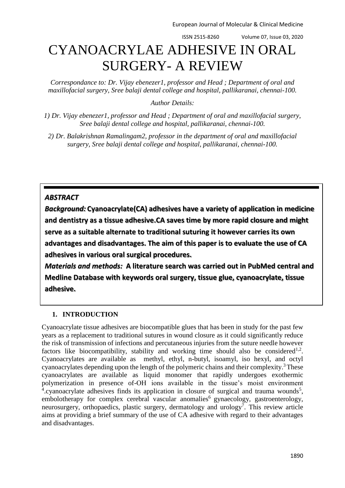ISSN 2515-8260 Volume 07, Issue 03, 2020

# CYANOACRYLAE ADHESIVE IN ORAL SURGERY- A REVIEW

*Correspondance to: Dr. Vijay ebenezer1, professor and Head ; Department of oral and maxillofacial surgery, Sree balaji dental college and hospital, pallikaranai, chennai-100.*

*Author Details:*

*1) Dr. Vijay ebenezer1, professor and Head ; Department of oral and maxillofacial surgery, Sree balaji dental college and hospital, pallikaranai, chennai-100.*

*2) Dr. Balakrishnan Ramalingam2, professor in the department of oral and maxillofacial surgery, Sree balaji dental college and hospital, pallikaranai, chennai-100.*

## *ABSTRACT*

*Background:* **Cyanoacrylate(CA) adhesives have a variety of application in medicine and dentistry as a tissue adhesive.CA saves time by more rapid closure and might serve as a suitable alternate to traditional suturing it however carries its own advantages and disadvantages. The aim of this paper is to evaluate the use of CA adhesives in various oral surgical procedures.**

*Materials and methods:* **A literature search was carried out in PubMed central and Medline Database with keywords oral surgery, tissue glue, cyanoacrylate, tissue adhesive.** 

## **1. INTRODUCTION**

Cyanoacrylate tissue adhesives are biocompatible glues that has been in study for the past few years as a replacement to traditional sutures in wound closure as it could significantly reduce the risk of transmission of infections and percutaneous injuries from the suture needle however factors like biocompatibility, stability and working time should also be considered<sup>1,2</sup>. Cyanoacrylates are available as methyl, ethyl, n-butyl, isoamyl, iso hexyl, and octyl cyanoacrylates depending upon the length of the polymeric chains and their complexity.<sup>3</sup> These cyanoacrylates are available as liquid monomer that rapidly undergoes exothermic polymerization in presence of-OH ions available in the tissue's moist environment <sup>4</sup>.cyanoacrylate adhesives finds its application in closure of surgical and trauma wounds<sup>5</sup>, embolotherapy for complex cerebral vascular anomalies<sup>6</sup> gynaecology, gastroenterology, neurosurgery, orthopaedics, plastic surgery, dermatology and urology<sup>7</sup>. This review article aims at providing a brief summary of the use of CA adhesive with regard to their advantages and disadvantages.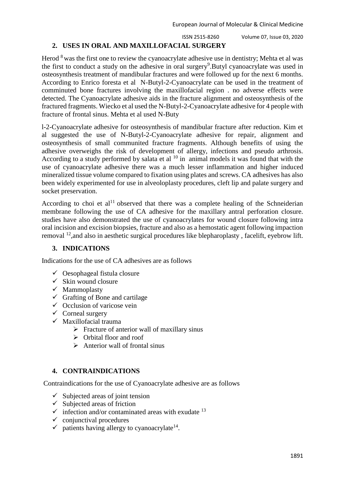ISSN 2515-8260 Volume 07, Issue 03, 2020

## **2. USES IN ORAL AND MAXILLOFACIAL SURGERY**

Herod <sup>8</sup> was the first one to review the cyanoacrylate adhesive use in dentistry; Mehta et al was the first to conduct a study on the adhesive in oral surgery<sup>9</sup>. Butyl cyanoacrylate was used in osteosynthesis treatment of mandibular fractures and were followed up for the next 6 months. According to Enrico foresta et al N-Butyl-2-Cyanoacrylate can be used in the treatment of comminuted bone fractures involving the maxillofacial region . no adverse effects were detected. The Cyanoacrylate adhesive aids in the fracture alignment and osteosynthesis of the fractured fragments. Wiecko et al used the N-Butyl-2-Cyanoacrylate adhesive for 4 people with fracture of frontal sinus. Mehta et al used N-Buty

l-2-Cyanoacrylate adhesive for osteosynthesis of mandibular fracture after reduction. Kim et al suggested the use of N-Butyl-2-Cyanoacrylate adhesive for repair, alignment and osteosynthesis of small communited fracture fragments. Although benefits of using the adhesive overweighs the risk of development of allergy, infections and pseudo arthrosis. According to a study performed by salata et al  $10$  in animal models it was found that with the use of cyanoacrylate adhesive there was a much lesser inflammation and higher induced mineralized tissue volume compared to fixation using plates and screws. CA adhesives has also been widely experimented for use in alveoloplasty procedures, cleft lip and palate surgery and socket preservation.

According to choi et  $al<sup>11</sup>$  observed that there was a complete healing of the Schneiderian membrane following the use of CA adhesive for the maxillary antral perforation closure. studies have also demonstrated the use of cyanoacrylates for wound closure following intra oral incision and excision biopsies, fracture and also as a hemostatic agent following impaction removal <sup>12</sup>,and also in aesthetic surgical procedures like blepharoplasty , facelift, eyebrow lift.

#### **3. INDICATIONS**

Indications for the use of CA adhesives are as follows

- $\checkmark$  Oesophageal fistula closure
- $\checkmark$  Skin wound closure
- $\checkmark$  Mammoplasty
- $\checkmark$  Grafting of Bone and cartilage
- $\checkmark$  Occlusion of varicose vein
- $\checkmark$  Corneal surgery
- $\checkmark$  Maxillofacial trauma
	- $\triangleright$  Fracture of anterior wall of maxillary sinus
	- $\triangleright$  Orbital floor and roof
	- $\triangleright$  Anterior wall of frontal sinus

### **4. CONTRAINDICATIONS**

Contraindications for the use of Cyanoacrylate adhesive are as follows

- $\checkmark$  Subjected areas of joint tension
- $\checkmark$  Subjected areas of friction
- $\checkmark$  infection and/or contaminated areas with exudate <sup>13</sup>
- $\checkmark$  conjunctival procedures
- $\checkmark$  patients having allergy to cyanoacrylate<sup>14</sup>.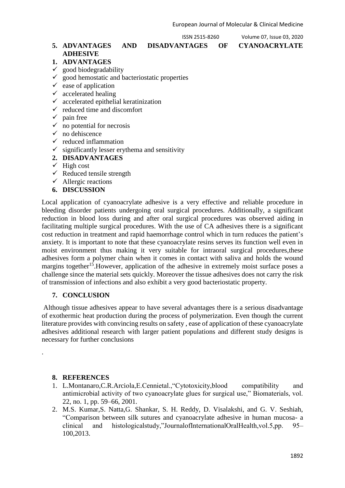#### **5. ADVANTAGES AND DISADVANTAGES OF CYANOACRYLATE ADHESIVE**

ISSN 2515-8260 Volume 07, Issue 03, 2020

## **1. ADVANTAGES**

- $\checkmark$  good biodegradability
- $\checkmark$  good hemostatic and bacteriostatic properties
- $\checkmark$  ease of application
- $\checkmark$  accelerated healing
- $\checkmark$  accelerated epithelial keratinization
- $\checkmark$  reduced time and discomfort
- $\checkmark$  pain free
- $\checkmark$  no potential for necrosis
- $\checkmark$  no dehiscence
- $\checkmark$  reduced inflammation
- $\checkmark$  significantly lesser erythema and sensitivity
- **2. DISADVANTAGES**
- $\checkmark$  High cost
- $\checkmark$  Reduced tensile strength
- $\checkmark$  Allergic reactions
- **6. DISCUSSION**

Local application of cyanoacrylate adhesive is a very effective and reliable procedure in bleeding disorder patients undergoing oral surgical procedures. Additionally, a significant reduction in blood loss during and after oral surgical procedures was observed aiding in facilitating multiple surgical procedures. With the use of CA adhesives there is a significant cost reduction in treatment and rapid haemorrhage control which in turn reduces the patient's anxiety. It is important to note that these cyanoacrylate resins serves its function well even in moist environment thus making it very suitable for intraoral surgical procedures,these adhesives form a polymer chain when it comes in contact with saliva and holds the wound margins together<sup>15</sup>. However, application of the adhesive in extremely moist surface poses a challenge since the material sets quickly. Moreover the tissue adhesives does not carry the risk of transmission of infections and also exhibit a very good bacteriostatic property.

### **7. CONCLUSION**

Although tissue adhesives appear to have several advantages there is a serious disadvantage of exothermic heat production during the process of polymerization. Even though the current literature provides with convincing results on safety , ease of application of these cyanoacrylate adhesives additional research with larger patient populations and different study designs is necessary for further conclusions

### **8. REFERENCES**

.

- 1. L.Montanaro,C.R.Arciola,E.Cennietal.,"Cytotoxicity,blood compatibility and antimicrobial activity of two cyanoacrylate glues for surgical use," Biomaterials, vol. 22, no. 1, pp. 59–66, 2001.
- 2. M.S. Kumar,S. Natta,G. Shankar, S. H. Reddy, D. Visalakshi, and G. V. Seshiah, "Comparison between silk sutures and cyanoacrylate adhesive in human mucosa- a clinical and histologicalstudy,"JournalofInternationalOralHealth,vol.5,pp. 95– 100,2013.